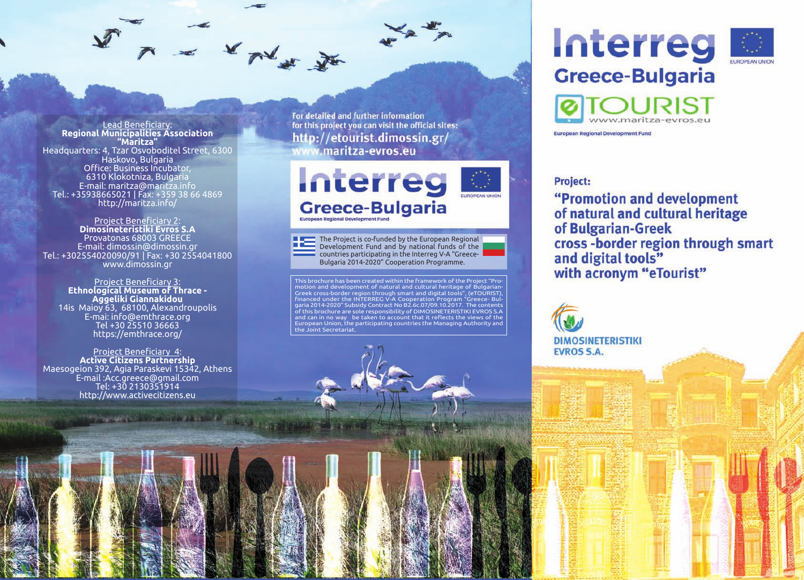Lead Beneficiary: **Regional Municipalities Association "Maritza"** Headquarters: 4, Tzar Osvoboditel Street, 6300 Haskovo, Bulgaria Office: Business Incubator, 6310 Klokotniza, Bulgaria E-mail: maritza@maritza.info Tel.: +35938665021 | Fax: +359 38 66 4869 http://maritza.info/

A = x m x x

Project Beneficiary 2: **Dimosineteristiki Evros S.A** Provatonas 68003 GREECE E-mail: dimossin@dimossin.gr Tel.: +302554020090/91 | Fax: +30 2554041800 www.dimossin.gr

Project Beneficiary 3: **Ethnological Museum of Thrace - Aggeliki Giannakidou** 14is Maioy 63, 68100, Alexandroupolis E-mai: info@emthrace.org Tel +30 25510 36663 https://emthrace.org/

Project Beneficiary 4: **Active Citizens Partnership** Maesogeion 392, Agia Paraskevi 15342, Athens E-mail :Acc.greece@gmail.com Tel: +30 2130351914 http://www.activecitizens.eu

**CONTRACTO DE LA PRODUCTIVA DE LA CONTRACTO DE LA CONTRACTO DE LA CONTRACTO DE LA CONTRACTO DE LA CONTRACTO DE** 

For detailed and further information for this project you can visit the official sites: http://etourist.dimossin.gr/ www.maritza-evros.eu



The Project is co-funded by the European Regional Development Fund and by national funds of the countries participating in the Interreg V-A "Greece-Bulgaria 2014-2020" Cooperation Programme.

This brochure has been created within the framework of the Project "Promotion and development of natural and cultural heritage of Bulgarian-Greek cross-border region through smart and digital tools", (eTOURIST), financed under the INTERREG V-A Cooperation Program "Greece- Bulgaria 2014-2020" Subsidy Contract No B2.6c.07/09.10.2017. The contents of this brochure are sole responsibility of DIMOSINETERISTIKI EVROS S.A and can in no way be taken to account that it reflects the views of the European Union, the participating countries the Managing Authority and the Joint Secretariat.



**European Regional Development Fund** 

## **Project:**

"Promotion and development of natural and cultural heritage of Bulgarian-Greek cross-border region through smart and digital tools" with acronym "eTourist"

**DIMOSINETERISTIKI EVROS S.A.**